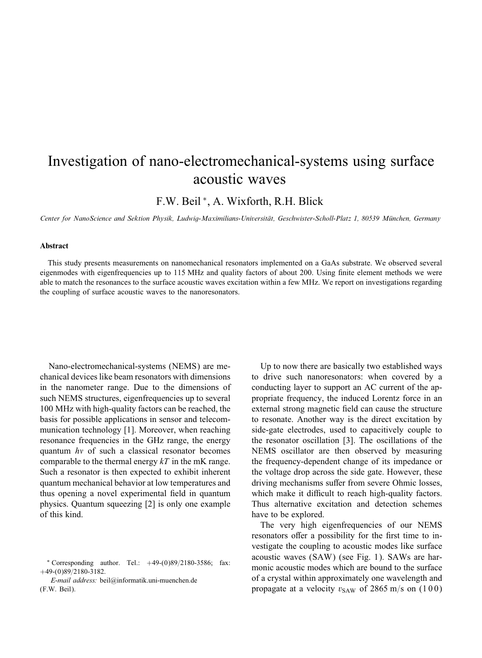## Investigation of nano-electromechanical-systems using surface acoustic waves

F.W. Beil ∗ , A. Wixforth, R.H. Blick

*Center for NanoScience and Sektion Physik, Ludwig-Maximilians-Universitat, Geschwister-Scholl-Platz 1, 80539 Munchen, Germany*

## Abstract

This study presents measurements on nanomechanical resonators implemented on a GaAs substrate. We observed several eigenmodes with eigenfrequencies up to 115 MHz and quality factors of about 200. Using finite element methods we were able to match the resonances to the surface acoustic waves excitation within a few MHz. We report on investigations regarding the coupling of surface acoustic waves to the nanoresonators.

Nano-electromechanical-systems (NEMS) are mechanical devices like beam resonators with dimensions in the nanometer range. Due to the dimensions of such NEMS structures, eigenfrequencies up to several 100 MHz with high-quality factors can be reached, the basis for possible applications in sensor and telecommunication technology [1]. Moreover, when reaching resonance frequencies in the GHz range, the energy quantum  $hv$  of such a classical resonator becomes comparable to the thermal energy  $kT$  in the mK range. Such a resonator is then expected to exhibit inherent quantum mechanical behavior at low temperatures and thus opening a novel experimental field in quantum physics. Quantum squeezing [2] is only one example of this kind.

*E-mail address:* beil@informatik.uni-muenchen.de (F.W. Beil).

Up to now there are basically two established ways to drive such nanoresonators: when covered by a conducting layer to support an AC current of the appropriate frequency, the induced Lorentz force in an external strong magnetic field can cause the structure to resonate. Another way is the direct excitation by side-gate electrodes, used to capacitively couple to the resonator oscillation [3]. The oscillations of the NEMS oscillator are then observed by measuring the frequency-dependent change of its impedance or the voltage drop across the side gate. However, these driving mechanisms suffer from severe Ohmic losses, which make it difficult to reach high-quality factors. Thus alternative excitation and detection schemes have to be explored.

The very high eigenfrequencies of our NEMS resonators offer a possibility for the first time to investigate the coupling to acoustic modes like surface acoustic waves (SAW) (see Fig. 1). SAWs are harmonic acoustic modes which are bound to the surface of a crystal within approximately one wavelength and propagate at a velocity  $v_{SAW}$  of 2865 m/s on (100)

 $*$  Corresponding author. Tel.:  $+49-(0)89/2180-3586$ ; fax:  $+49-(0)89/2180-3182.$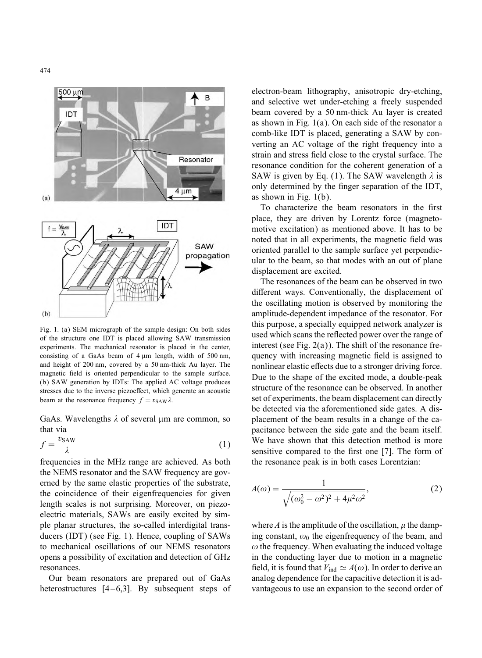

Fig. 1. (a) SEM micrograph of the sample design: On both sides of the structure one IDT is placed allowing SAW transmission experiments. The mechanical resonator is placed in the center, consisting of a GaAs beam of  $4 \mu m$  length, width of 500 nm, and height of 200 nm, covered by a 50 nm-thick Au layer. The magnetic field is oriented perpendicular to the sample surface. (b) SAW generation by IDTs: The applied AC voltage produces stresses due to the inverse piezoeffect, which generate an acoustic beam at the resonance frequency  $f = v_{\text{SAW}} \lambda$ .

GaAs. Wavelengths  $\lambda$  of several  $\mu$ m are common, so that via

$$
f = \frac{v_{\text{SAW}}}{\lambda} \tag{1}
$$

frequencies in the MHz range are achieved. As both the NEMS resonator and the SAW frequency are governed by the same elastic properties of the substrate, the coincidence of their eigenfrequencies for given length scales is not surprising. Moreover, on piezoelectric materials, SAWs are easily excited by simple planar structures, the so-called interdigital transducers (IDT) (see Fig. 1). Hence, coupling of SAWs to mechanical oscillations of our NEMS resonators opens a possibility of excitation and detection of GHz resonances.

Our beam resonators are prepared out of GaAs heterostructures [4–6,3]. By subsequent steps of electron-beam lithography, anisotropic dry-etching, and selective wet under-etching a freely suspended beam covered by a 50 nm-thick Au layer is created as shown in Fig. 1(a). On each side of the resonator a comb-like IDT is placed, generating a SAW by converting an AC voltage of the right frequency into a strain and stress field close to the crystal surface. The resonance condition for the coherent generation of a SAW is given by Eq. (1). The SAW wavelength  $\lambda$  is only determined by the 6nger separation of the IDT, as shown in Fig. 1(b).

To characterize the beam resonators in the first place, they are driven by Lorentz force (magnetomotive excitation) as mentioned above. It has to be noted that in all experiments, the magnetic field was oriented parallel to the sample surface yet perpendicular to the beam, so that modes with an out of plane displacement are excited.

The resonances of the beam can be observed in two different ways. Conventionally, the displacement of the oscillating motion is observed by monitoring the amplitude-dependent impedance of the resonator. For this purpose, a specially equipped network analyzer is used which scans the reflected power over the range of interest (see Fig.  $2(a)$ ). The shift of the resonance frequency with increasing magnetic field is assigned to nonlinear elastic effects due to a stronger driving force. Due to the shape of the excited mode, a double-peak structure of the resonance can be observed. In another set of experiments, the beam displacement can directly be detected via the aforementioned side gates. A displacement of the beam results in a change of the capacitance between the side gate and the beam itself. We have shown that this detection method is more sensitive compared to the first one [7]. The form of the resonance peak is in both cases Lorentzian:

$$
A(\omega) = \frac{1}{\sqrt{(\omega_0^2 - \omega^2)^2 + 4\mu^2 \omega^2}},
$$
 (2)

where A is the amplitude of the oscillation,  $\mu$  the damping constant,  $\omega_0$  the eigenfrequency of the beam, and  $\omega$  the frequency. When evaluating the induced voltage in the conducting layer due to motion in a magnetic field, it is found that  $V_{\text{ind}} \simeq A(\omega)$ . In order to derive an analog dependence for the capacitive detection it is advantageous to use an expansion to the second order of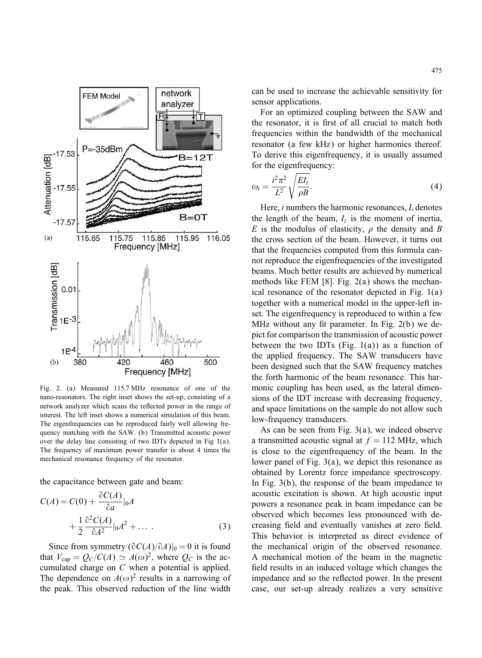

Fig. 2. (a) Measured 115:7 MHz resonance of one of the nano-resonators. The right inset shows the set-up, consisting of a network analyzer which scans the reflected power in the range of interest. The left inset shows a numerical simulation of this beam. The eigenfrequencies can be reproduced fairly well allowing frequency matching with the SAW. (b) Transmitted acoustic power over the delay line consisting of two IDTs depicted in Fig 1(a). The frequency of maximum power transfer is about 4 times the mechanical resonance frequency of the resonator.

the capacitance between gate and beam:

$$
C(A) = C(0) + \frac{\partial C(A)}{\partial a}|_{0}A
$$
  
+ 
$$
\frac{1}{2} \frac{\partial^{2} C(A)}{\partial A^{2}}|_{0}A^{2} + \dots
$$
 (3)

Since from symmetry  $(\partial C(A)/\partial A)|_0 = 0$  it is found that  $V_{\text{cap}} = Q_C/C(A) \simeq A(\omega)^2$ , where  $Q_C$  is the accumulated charge on C when a potential is applied. The dependence on  $A(\omega)^2$  results in a narrowing of the peak. This observed reduction of the line width can be used to increase the achievable sensitivity for sensor applications.

For an optimized coupling between the SAW and the resonator, it is first of all crucial to match both frequencies within the bandwidth of the mechanical resonator (a few kHz) or higher harmonics thereof. To derive this eigenfrequency, it is usually assumed for the eigenfrequency:

$$
\omega_i = \frac{i^2 \pi^2}{L^2} \sqrt{\frac{EI_z}{\rho B}}.\tag{4}
$$

Here,  $i$  numbers the harmonic resonances,  $L$  denotes the length of the beam,  $I_z$  is the moment of inertia, E is the modulus of elasticity,  $\rho$  the density and B the cross section of the beam. However, it turns out that the frequencies computed from this formula cannot reproduce the eigenfrequencies of the investigated beams. Much better results are achieved by numerical methods like FEM [8]. Fig. 2(a) shows the mechanical resonance of the resonator depicted in Fig. 1(a) together with a numerical model in the upper-left inset. The eigenfrequency is reproduced to within a few MHz without any fit parameter. In Fig.  $2(b)$  we depict for comparison the transmission of acoustic power between the two IDTs (Fig.  $1(a)$ ) as a function of the applied frequency. The SAW transducers have been designed such that the SAW frequency matches the forth harmonic of the beam resonance. This harmonic coupling has been used, as the lateral dimensions of the IDT increase with decreasing frequency, and space limitations on the sample do not allow such low-frequency transducers.

As can be seen from Fig. 3(a), we indeed observe a transmitted acoustic signal at  $f = 112$  MHz, which is close to the eigenfrequency of the beam. In the lower panel of Fig. 3(a), we depict this resonance as obtained by Lorentz force impedance spectroscopy. In Fig. 3(b), the response of the beam impedance to acoustic excitation is shown. At high acoustic input powers a resonance peak in beam impedance can be observed which becomes less pronounced with decreasing field and eventually vanishes at zero field. This behavior is interpreted as direct evidence of the mechanical origin of the observed resonance. A mechanical motion of the beam in the magnetic field results in an induced voltage which changes the impedance and so the reflected power. In the present case, our set-up already realizes a very sensitive